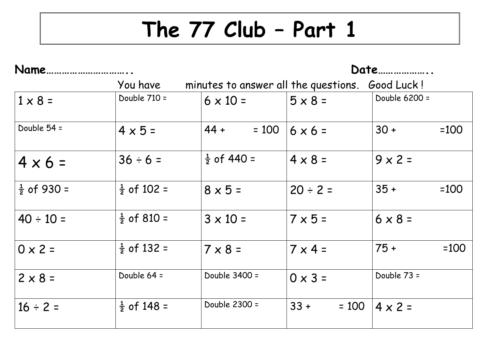## **The 77 Club – Part 1**

| Name.                  |                        |                                                 | Date              |                  |
|------------------------|------------------------|-------------------------------------------------|-------------------|------------------|
|                        | You have               | minutes to answer all the questions. Good Luck! |                   |                  |
| $1 \times 8 =$         | Double 710 =           | $6 \times 10 =$                                 | $5 \times 8 =$    | Double 6200 =    |
| Double 54 =            | $4 \times 5 =$         | $44 +$<br>$= 100$                               | $6 \times 6 =$    | $30 +$<br>$=100$ |
| $4 \times 6 =$         | $36 \div 6 =$          | $\frac{1}{2}$ of 440 =                          | $4 \times 8 =$    | $9x2=$           |
| $\frac{1}{2}$ of 930 = | $\frac{1}{2}$ of 102 = | $8 \times 5 =$                                  | $20 \div 2 =$     | $35 +$<br>$=100$ |
| $40 \div 10 =$         | $\frac{1}{2}$ of 810 = | $3 \times 10 =$                                 | $7 \times 5 =$    | $6 \times 8 =$   |
| $0 \times 2 =$         | $\frac{1}{2}$ of 132 = | $7 \times 8 =$                                  | $7 \times 4 =$    | $75 +$<br>$=100$ |
| $2 \times 8 =$         | Double 64 =            | Double 3400 =                                   | $0 \times 3 =$    | Double 73 =      |
| $16 \div 2 =$          | $\frac{1}{2}$ of 148 = | Double 2300 =                                   | $33 +$<br>$= 100$ | $4 \times 2 =$   |